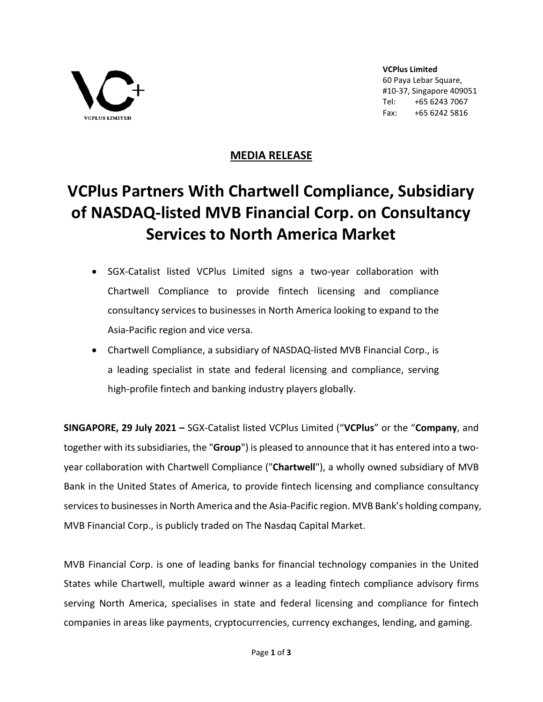

**VCPlus Limited** 60 Paya Lebar Square, #10-37, Singapore 409051 Tel: +65 6243 7067 Fax: +65 6242 5816

## **MEDIA RELEASE**

## **VCPlus Partners With Chartwell Compliance, Subsidiary of NASDAQ-listed MVB Financial Corp. on Consultancy Services to North America Market**

- SGX-Catalist listed VCPlus Limited signs a two-year collaboration with Chartwell Compliance to provide fintech licensing and compliance consultancy services to businesses in North America looking to expand to the Asia-Pacific region and vice versa.
- Chartwell Compliance, a subsidiary of NASDAQ-listed MVB Financial Corp., is a leading specialist in state and federal licensing and compliance, serving high-profile fintech and banking industry players globally.

**SINGAPORE, 29 July 2021 –** SGX-Catalist listed VCPlus Limited ("**VCPlus**" or the "**Company**, and together with its subsidiaries, the "**Group**") is pleased to announce that it has entered into a twoyear collaboration with Chartwell Compliance ("**Chartwell**"), a wholly owned subsidiary of MVB Bank in the United States of America, to provide fintech licensing and compliance consultancy services to businesses in North America and the Asia-Pacific region. MVB Bank's holding company, MVB Financial Corp., is publicly traded on The Nasdaq Capital Market.

MVB Financial Corp. is one of leading banks for financial technology companies in the United States while Chartwell, multiple award winner as a leading fintech compliance advisory firms serving North America, specialises in state and federal licensing and compliance for fintech companies in areas like payments, cryptocurrencies, currency exchanges, lending, and gaming.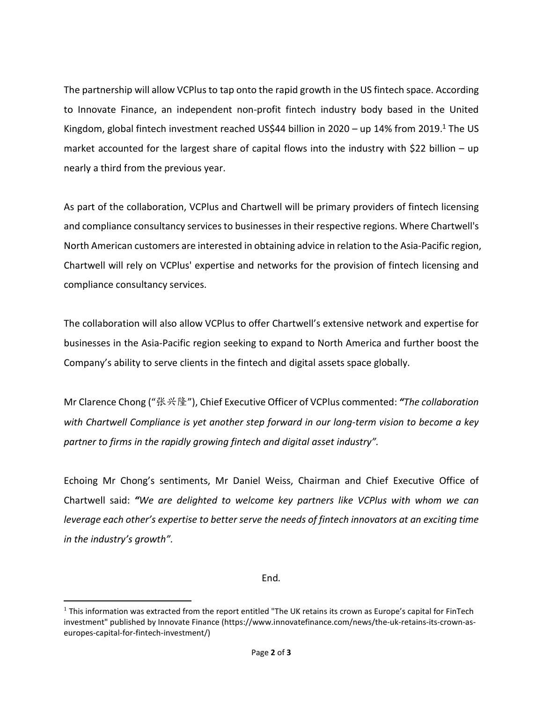The partnership will allow VCPlus to tap onto the rapid growth in the US fintech space. According to Innovate Finance, an independent non-profit fintech industry body based in the United Kingdom, global fintech investment reached US\$44 billion in 2020 – up [1](#page-1-0)4% from 2019.<sup>1</sup> The US market accounted for the largest share of capital flows into the industry with \$22 billion – up nearly a third from the previous year.

As part of the collaboration, VCPlus and Chartwell will be primary providers of fintech licensing and compliance consultancy services to businesses in their respective regions. Where Chartwell's North American customers are interested in obtaining advice in relation to the Asia-Pacific region, Chartwell will rely on VCPlus' expertise and networks for the provision of fintech licensing and compliance consultancy services.

The collaboration will also allow VCPlus to offer Chartwell's extensive network and expertise for businesses in the Asia-Pacific region seeking to expand to North America and further boost the Company's ability to serve clients in the fintech and digital assets space globally.

Mr Clarence Chong ("张兴隆"), Chief Executive Officer of VCPlus commented: *"The collaboration with Chartwell Compliance is yet another step forward in our long-term vision to become a key partner to firms in the rapidly growing fintech and digital asset industry".*

Echoing Mr Chong's sentiments, Mr Daniel Weiss, Chairman and Chief Executive Office of Chartwell said: *"We are delighted to welcome key partners like VCPlus with whom we can leverage each other's expertise to better serve the needs of fintech innovators at an exciting time in the industry's growth".*

End*.*

<span id="page-1-0"></span> $1$  This information was extracted from the report entitled "The UK retains its crown as Europe's capital for FinTech investment" published by Innovate Finance (https://www.innovatefinance.com/news/the-uk-retains-its-crown-aseuropes-capital-for-fintech-investment/)